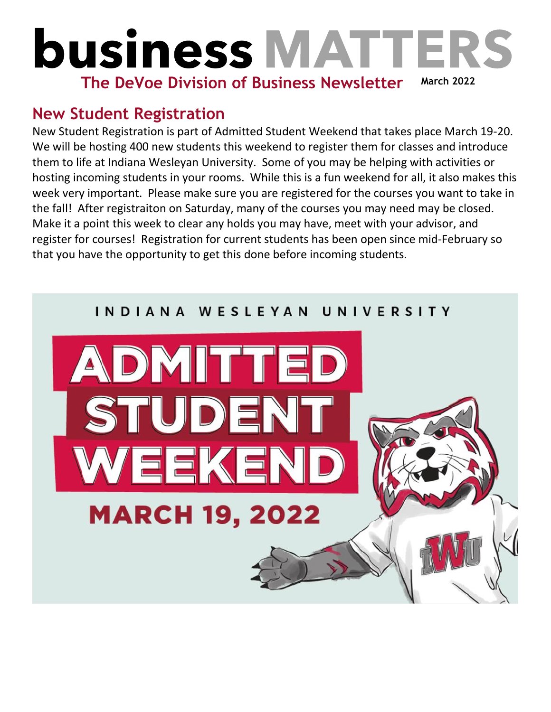## **business MATTER March 2022 The DeVoe Division of Business Newsletter**

## **New Student Registration**

New Student Registration is part of Admitted Student Weekend that takes place March 19-20. We will be hosting 400 new students this weekend to register them for classes and introduce them to life at Indiana Wesleyan University. Some of you may be helping with activities or hosting incoming students in your rooms. While this is a fun weekend for all, it also makes this week very important. Please make sure you are registered for the courses you want to take in the fall! After registraiton on Saturday, many of the courses you may need may be closed. Make it a point this week to clear any holds you may have, meet with your advisor, and register for courses! Registration for current students has been open since mid-February so that you have the opportunity to get this done before incoming students.